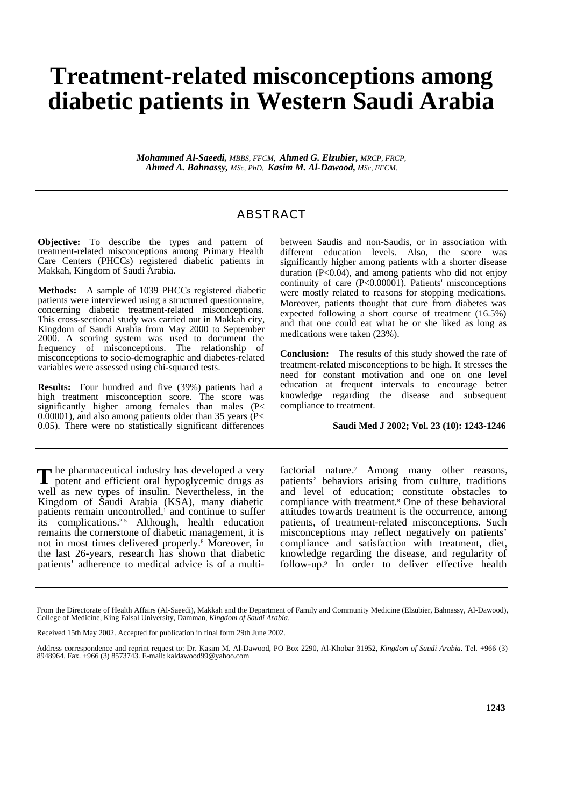## **Treatment-related misconceptions among diabetic patients in Western Saudi Arabia**

*Mohammed Al-Saeedi, MBBS, FFCM, Ahmed G. Elzubier, MRCP, FRCP, Ahmed A. Bahnassy, MSc, PhD, Kasim M. Al-Dawood, MSc, FFCM.* 

## ABSTRACT

**Objective:** To describe the types and pattern of treatment-related misconceptions among Primary Health Care Centers (PHCCs) registered diabetic patients in Makkah, Kingdom of Saudi Arabia.

**Methods:** A sample of 1039 PHCCs registered diabetic patients were interviewed using a structured questionnaire, concerning diabetic treatment-related misconceptions. This cross-sectional study was carried out in Makkah city, Kingdom of Saudi Arabia from May 2000 to September 2000. A scoring system was used to document the frequency of misconceptions. The relationship of misconceptions to socio-demographic and diabetes-related variables were assessed using chi-squared tests.

**Results:** Four hundred and five (39%) patients had a high treatment misconception score. The score was significantly higher among females than males  $(P<sub>1</sub>)$ 0.00001), and also among patients older than 35 years (P< 0.05). There were no statistically significant differences

between Saudis and non-Saudis, or in association with different education levels. Also, the score was significantly higher among patients with a shorter disease duration (P<0.04), and among patients who did not enjoy continuity of care (P<0.00001). Patients' misconceptions were mostly related to reasons for stopping medications. Moreover, patients thought that cure from diabetes was expected following a short course of treatment (16.5%) and that one could eat what he or she liked as long as medications were taken (23%).

**Conclusion:** The results of this study showed the rate of treatment-related misconceptions to be high. It stresses the need for constant motivation and one on one level education at frequent intervals to encourage better knowledge regarding the disease and subsequent compliance to treatment.

## **Saudi Med J 2002; Vol. 23 (10): 1243-1246**

he pharmaceutical industry has developed a very The pharmaceutical industry has developed a very potent and efficient oral hypoglycemic drugs as well as new types of insulin. Nevertheless, in the Kingdom of Saudi Arabia (KSA), many diabetic patients remain uncontrolled,<sup>1</sup> and continue to suffer its complications.<sup>2-5</sup> Although, health education remains the cornerstone of diabetic management, it is not in most times delivered properly.<sup>6</sup> Moreover, in the last 26-years, research has shown that diabetic patients' adherence to medical advice is of a multi-

factorial nature.<sup>7</sup> Among many other reasons, patients' behaviors arising from culture, traditions and level of education; constitute obstacles to compliance with treatment.<sup>8</sup> One of these behavioral attitudes towards treatment is the occurrence, among patients, of treatment-related misconceptions. Such misconceptions may reflect negatively on patients' compliance and satisfaction with treatment, diet, knowledge regarding the disease, and regularity of follow-up.<sup>9</sup> In order to deliver effective health

From the Directorate of Health Affairs (Al-Saeedi), Makkah and the Department of Family and Community Medicine (Elzubier, Bahnassy, Al-Dawood), College of Medicine, King Faisal University, Damman, *Kingdom of Saudi Arabia*.

Received 15th May 2002. Accepted for publication in final form 29th June 2002.

Address correspondence and reprint request to: Dr. Kasim M. Al-Dawood, PO Box 2290, Al-Khobar 31952, *Kingdom of Saudi Arabia*. Tel. +966 (3) 8948964. Fax. +966 (3) 8573743. E-mail: kaldawood99@yahoo.com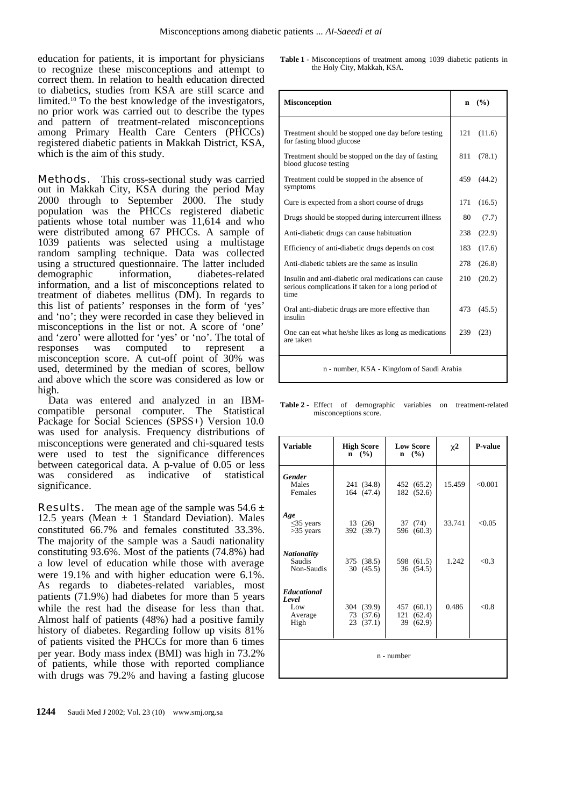education for patients, it is important for physicians to recognize these misconceptions and attempt to correct them. In relation to health education directed to diabetics, studies from KSA are still scarce and limited.10 To the best knowledge of the investigators, no prior work was carried out to describe the types and pattern of treatment-related misconceptions among Primary Health Care Centers (PHCCs) registered diabetic patients in Makkah District, KSA, which is the aim of this study.

**Methods.** This cross-sectional study was carried out in Makkah City, KSA during the period May 2000 through to September 2000. The study population was the PHCCs registered diabetic patients whose total number was 11,614 and who were distributed among 67 PHCCs. A sample of 1039 patients was selected using a multistage random sampling technique. Data was collected using a structured questionnaire. The latter included demographic information, diabetes-related information, and a list of misconceptions related to treatment of diabetes mellitus (DM). In regards to this list of patients' responses in the form of 'yes' and 'no'; they were recorded in case they believed in misconceptions in the list or not. A score of 'one' and 'zero' were allotted for 'yes' or 'no'. The total of responses was computed to represent a misconception score. A cut-off point of 30% was used, determined by the median of scores, bellow and above which the score was considered as low or high.

Data was entered and analyzed in an IBMcompatible personal computer. The Statistical Package for Social Sciences (SPSS+) Version 10.0 was used for analysis. Frequency distributions of misconceptions were generated and chi-squared tests were used to test the significance differences between categorical data. A p-value of 0.05 or less<br>was considered as indicative of statistical was considered as indicative of statistical significance.

**Results.** The mean age of the sample was  $54.6 \pm$ 12.5 years (Mean  $\pm$  1 Standard Deviation). Males constituted 66.7% and females constituted 33.3%. The majority of the sample was a Saudi nationality constituting 93.6%. Most of the patients (74.8%) had a low level of education while those with average were 19.1% and with higher education were 6.1%. As regards to diabetes-related variables, most patients (71.9%) had diabetes for more than 5 years while the rest had the disease for less than that. Almost half of patients (48%) had a positive family history of diabetes. Regarding follow up visits 81% of patients visited the PHCCs for more than 6 times per year. Body mass index (BMI) was high in 73.2% of patients, while those with reported compliance with drugs was 79.2% and having a fasting glucose **Table 1 -** Misconceptions of treatment among 1039 diabetic patients in the Holy City, Makkah, KSA.

| <b>Misconception</b>                                                                                                | n   | $($ %) |  |
|---------------------------------------------------------------------------------------------------------------------|-----|--------|--|
| Treatment should be stopped one day before testing<br>for fasting blood glucose                                     | 121 | (11.6) |  |
| Treatment should be stopped on the day of fasting<br>blood glucose testing                                          | 811 | (78.1) |  |
| Treatment could be stopped in the absence of<br>symptoms                                                            | 459 | (44.2) |  |
| Cure is expected from a short course of drugs                                                                       | 171 | (16.5) |  |
| Drugs should be stopped during intercurrent illness                                                                 | 80  | (7.7)  |  |
| Anti-diabetic drugs can cause habituation                                                                           | 238 | (22.9) |  |
| Efficiency of anti-diabetic drugs depends on cost                                                                   | 183 | (17.6) |  |
| Anti-diabetic tablets are the same as insulin                                                                       | 278 | (26.8) |  |
| Insulin and anti-diabetic oral medications can cause<br>serious complications if taken for a long period of<br>time | 210 | (20.2) |  |
| Oral anti-diabetic drugs are more effective than<br>insulin                                                         | 473 | (45.5) |  |
| One can eat what he/she likes as long as medications<br>are taken                                                   | 239 | (23)   |  |
| n - number, KSA - Kingdom of Saudi Arabia                                                                           |     |        |  |

**Table 2 -** Effect of demographic variables on treatment-related misconceptions score.

| <b>Variable</b>                                       | <b>High Score</b><br>$n \quad (%)$  | <b>Low Score</b><br>$n \quad (%)$           | $\chi^2$ | P-value |  |
|-------------------------------------------------------|-------------------------------------|---------------------------------------------|----------|---------|--|
| <b>Gender</b><br>Males<br>Females                     | 241 (34.8)<br>164 (47.4)            | 452 (65.2)<br>182 (52.6)                    | 15.459   | < 0.001 |  |
| Age<br>$<$ 35 years<br>$>35$ years                    | 13(26)<br>392 (39.7)                | 37 (74)<br>596 (60.3)                       | 33.741   | < 0.05  |  |
| <b>Nationality</b><br><b>Saudis</b><br>Non-Saudis     | 375 (38.5)<br>30(45.5)              | 598 (61.5)<br>36 (54.5)                     | 1.242    | < 0.3   |  |
| <b>Educational</b><br>Level<br>Low<br>Average<br>High | 304 (39.9)<br>73 (37.6)<br>23(37.1) | 457 (60.1)<br>121<br>(62.4)<br>39<br>(62.9) | 0.486    | < 0.8   |  |
| n - number                                            |                                     |                                             |          |         |  |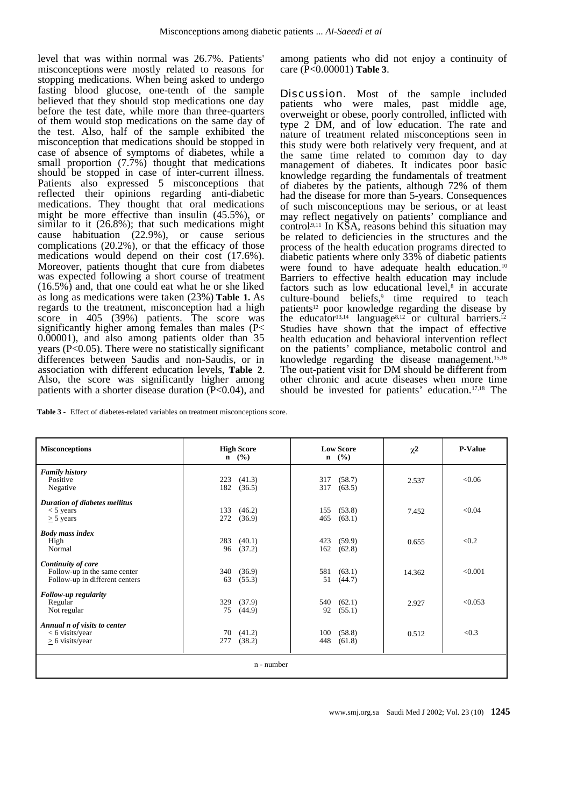level that was within normal was 26.7%. Patients' misconceptions were mostly related to reasons for stopping medications. When being asked to undergo fasting blood glucose, one-tenth of the sample believed that they should stop medications one day before the test date, while more than three-quarters of them would stop medications on the same day of the test. Also, half of the sample exhibited the misconception that medications should be stopped in case of absence of symptoms of diabetes, while a small proportion (7.7%) thought that medications should be stopped in case of inter-current illness. Patients also expressed 5 misconceptions that reflected their opinions regarding anti-diabetic medications. They thought that oral medications might be more effective than insulin (45.5%), or similar to it (26.8%); that such medications might cause habituation (22.9%), or cause serious complications (20.2%), or that the efficacy of those medications would depend on their cost (17.6%). Moreover, patients thought that cure from diabetes was expected following a short course of treatment (16.5%) and, that one could eat what he or she liked as long as medications were taken (23%) **Table 1.** As regards to the treatment, misconception had a high score in 405 (39%) patients. The score was significantly higher among females than males (P< 0.00001), and also among patients older than 35 years (P<0.05). There were no statistically significant differences between Saudis and non-Saudis, or in association with different education levels, **Table 2**. Also, the score was significantly higher among patients with a shorter disease duration  $(P<0.04)$ , and among patients who did not enjoy a continuity of care (P<0.00001) **Table 3**.

**Discussion.** Most of the sample included patients who were males, past middle age, overweight or obese, poorly controlled, inflicted with type 2 DM, and of low education. The rate and nature of treatment related misconceptions seen in this study were both relatively very frequent, and at the same time related to common day to day management of diabetes. It indicates poor basic knowledge regarding the fundamentals of treatment of diabetes by the patients, although 72% of them had the disease for more than 5-years. Consequences of such misconceptions may be serious, or at least may reflect negatively on patients' compliance and control<sup>9,11</sup> In KSA, reasons behind this situation may be related to deficiencies in the structures and the process of the health education programs directed to diabetic patients where only 33% of diabetic patients were found to have adequate health education.<sup>10</sup> Barriers to effective health education may include factors such as low educational level,<sup>8</sup> in accurate culture-bound beliefs,<sup>9</sup> time required to teach patients<sup>12</sup> poor knowledge regarding the disease by the educator<sup>13,14</sup> language<sup>8,12</sup> or cultural barriers.<sup>12</sup> Studies have shown that the impact of effective health education and behavioral intervention reflect on the patients' compliance, metabolic control and knowledge regarding the disease management.15,16 The out-patient visit for DM should be different from other chronic and acute diseases when more time should be invested for patients' education.17,18 The

|  |  | <b>Table 3 -</b> Effect of diabetes-related variables on treatment misconceptions score. |  |
|--|--|------------------------------------------------------------------------------------------|--|
|--|--|------------------------------------------------------------------------------------------|--|

| <b>Misconceptions</b>                                                                | <b>High Score</b><br>$n \quad (\%)$ | <b>Low Score</b><br>$n \quad (\%)$ | $\chi^2$ | <b>P-Value</b> |  |  |
|--------------------------------------------------------------------------------------|-------------------------------------|------------------------------------|----------|----------------|--|--|
| <b>Family history</b><br>Positive<br>Negative                                        | 223<br>(41.3)<br>182<br>(36.5)      | (58.7)<br>317<br>317<br>(63.5)     | 2.537    | <0.06          |  |  |
| Duration of diabetes mellitus<br>$<$ 5 years<br>$\geq$ 5 years                       | 133<br>(46.2)<br>272<br>(36.9)      | (53.8)<br>155<br>(63.1)<br>465     | 7.452    | < 0.04         |  |  |
| <b>Body mass index</b><br>High<br>Normal                                             | (40.1)<br>283<br>96<br>(37.2)       | 423<br>(59.9)<br>(62.8)<br>162     | 0.655    | < 0.2          |  |  |
| Continuity of care<br>Follow-up in the same center<br>Follow-up in different centers | (36.9)<br>340<br>(55.3)<br>63       | (63.1)<br>581<br>(44.7)<br>51      | 14.362   | < 0.001        |  |  |
| Follow-up regularity<br>Regular<br>Not regular                                       | (37.9)<br>329<br>75<br>(44.9)       | (62.1)<br>540<br>92<br>(55.1)      | 2.927    | < 0.053        |  |  |
| Annual n of visits to center<br>$<$ 6 visits/year<br>$> 6$ visits/year               | 70(41.2)<br>(38.2)<br>277           | (58.8)<br>100<br>448<br>(61.8)     | 0.512    | < 0.3          |  |  |
| n - number                                                                           |                                     |                                    |          |                |  |  |